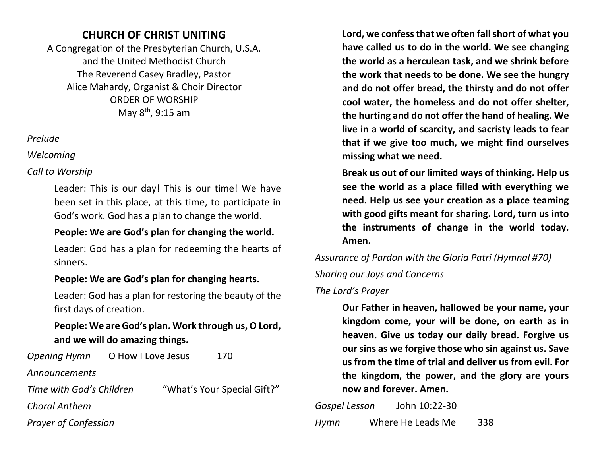# **CHURCH OF CHRIST UNITING**

A Congregation of the Presbyterian Church, U.S.A. and the United Methodist Church The Reverend Casey Bradley, Pastor Alice Mahardy, Organist & Choir Director ORDER OF WORSHIP May  $8<sup>th</sup>$ , 9:15 am

#### *Prelude*

*Welcoming*

### *Call to Worship*

Leader: This is our day! This is our time! We have been set in this place, at this time, to participate in God's work. God has a plan to change the world.

## **People: We are God's plan for changing the world.**

Leader: God has a plan for redeeming the hearts of sinners.

# **People: We are God's plan for changing hearts.**

Leader: God has a plan for restoring the beauty of the first days of creation.

## **People: We are God's plan. Work through us, O Lord, and we will do amazing things.**

| <b>Opening Hymn</b>         | O How I Love Jesus |  | 170                         |  |
|-----------------------------|--------------------|--|-----------------------------|--|
| Announcements               |                    |  |                             |  |
| Time with God's Children    |                    |  | "What's Your Special Gift?" |  |
| <b>Choral Anthem</b>        |                    |  |                             |  |
| <b>Prayer of Confession</b> |                    |  |                             |  |

**Lord, we confess that we often fall short of what you have called us to do in the world. We see changing the world as a herculean task, and we shrink before the work that needs to be done. We see the hungry and do not offer bread, the thirsty and do not offer cool water, the homeless and do not offer shelter, the hurting and do not offer the hand of healing. We live in a world of scarcity, and sacristy leads to fear that if we give too much, we might find ourselves missing what we need.**

**Break us out of our limited ways of thinking. Help us see the world as a place filled with everything we need. Help us see your creation as a place teaming with good gifts meant for sharing. Lord, turn us into the instruments of change in the world today. Amen.**

*Assurance of Pardon with the Gloria Patri (Hymnal #70)*

*Sharing our Joys and Concerns*

### *The Lord's Prayer*

**Our Father in heaven, hallowed be your name, your kingdom come, your will be done, on earth as in heaven. Give us today our daily bread. Forgive us our sins as we forgive those who sin against us. Save us from the time of trial and deliver us from evil. For the kingdom, the power, and the glory are yours now and forever. Amen.**

*Gospel Lesson* John 10:22-30 *Hymn* Where He Leads Me 338